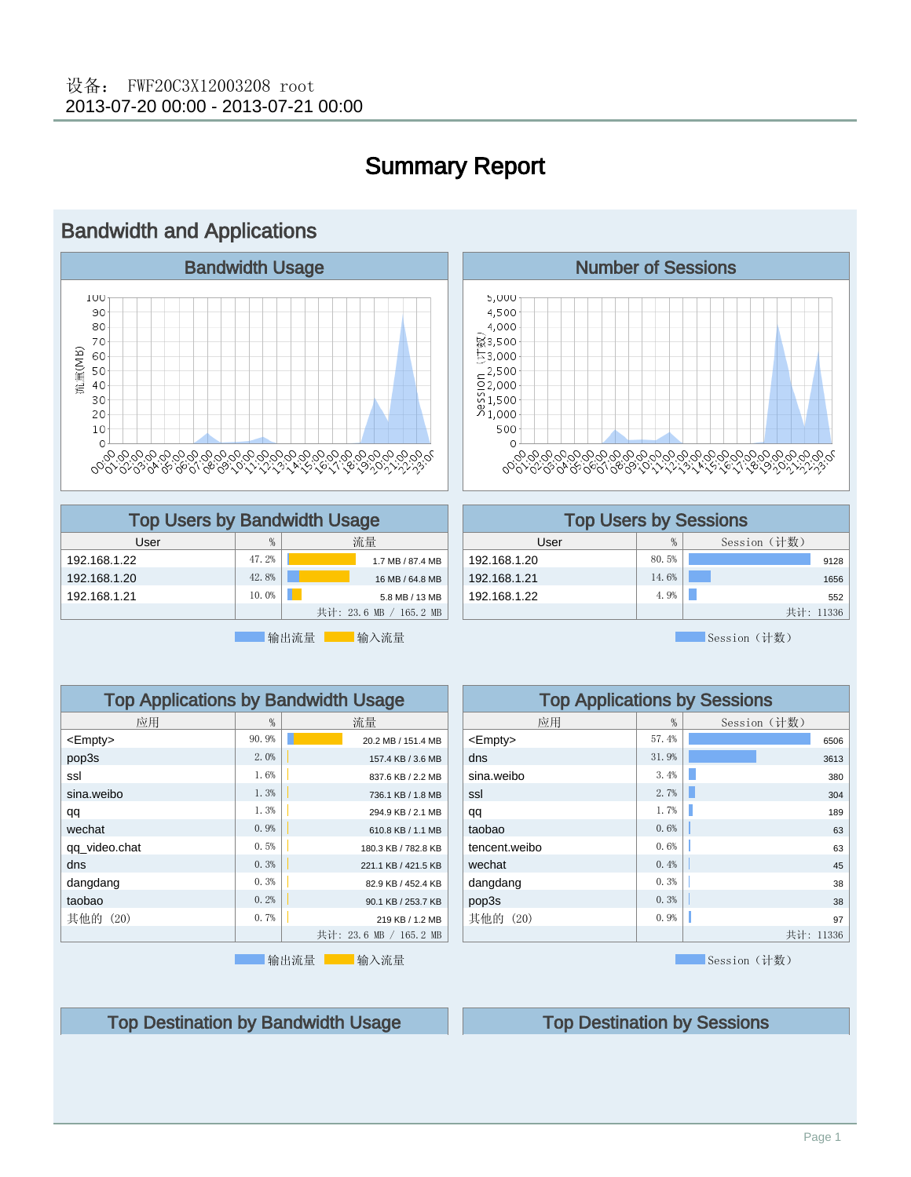

# Summary Report

### $5,000$ 4,500 4,000 ৡ3,500  $53,000$  $\frac{2}{5}$  2,500  $\frac{2,000}{0}$ <br> $\frac{0}{0}$ <br> $\frac{1,500}{1,000}$ 500  $\rm{O}$

| <b>Top Users by Bandwidth Usage</b> |       |                        |  |  |  |
|-------------------------------------|-------|------------------------|--|--|--|
| User                                | %     | 流量                     |  |  |  |
| 192.168.1.22                        | 47.2% | 1.7 MB / 87.4 MB       |  |  |  |
| 192.168.1.20                        | 42.8% | 16 MB / 64.8 MB        |  |  |  |
| 192.168.1.21                        | 10.0% | 5.8 MB / 13 MB         |  |  |  |
|                                     |       | 共计: 23.6 MB / 165.2 MB |  |  |  |

输出流量 -- 输入流量

| <b>Top Users by Sessions</b> |       |           |  |  |  |  |  |
|------------------------------|-------|-----------|--|--|--|--|--|
| Session (计数)<br>%<br>User    |       |           |  |  |  |  |  |
| 192.168.1.20                 | 80.5% | 9128      |  |  |  |  |  |
| 192.168.1.21                 | 14.6% | 1656      |  |  |  |  |  |
| 192.168.1.22                 | 4.9%  | 552       |  |  |  |  |  |
|                              |       | 共计: 11336 |  |  |  |  |  |

Top Applications by Sessions

Session (计数)

| <b>Top Applications by Bandwidth Usage</b> |       |                        |  |  |  |  |
|--------------------------------------------|-------|------------------------|--|--|--|--|
| 应用                                         | %     | 流量                     |  |  |  |  |
| $<$ Empty $>$                              | 90.9% | 20.2 MB / 151.4 MB     |  |  |  |  |
| pop3s                                      | 2.0%  | 157.4 KB / 3.6 MB      |  |  |  |  |
| ssl                                        | 1.6%  | 837.6 KB / 2.2 MB      |  |  |  |  |
| sina.weibo                                 | 1.3%  | 736.1 KB / 1.8 MB      |  |  |  |  |
| qq                                         | 1.3%  | 294.9 KB / 2.1 MB      |  |  |  |  |
| wechat                                     | 0.9%  | 610.8 KB / 1.1 MB      |  |  |  |  |
| qq_video.chat                              | 0.5%  | 180.3 KB / 782.8 KB    |  |  |  |  |
| dns                                        | 0.3%  | 221.1 KB / 421.5 KB    |  |  |  |  |
| dangdang                                   | 0.3%  | 82.9 KB / 452.4 KB     |  |  |  |  |
| taobao                                     | 0.2%  | 90.1 KB / 253.7 KB     |  |  |  |  |
| 其他的 (20)                                   | 0.7%  | 219 KB / 1.2 MB        |  |  |  |  |
|                                            |       | 共计: 23.6 MB / 165.2 MB |  |  |  |  |
|                                            |       |                        |  |  |  |  |

输出流量 输入流量

#### 应用  $\vert$  %  $\vert$  Session (计数)  $\leftarrow$  57.4%  $\leftarrow$  57.4%  $\leftarrow$  6506 dns  $31.9\%$   $31.9\%$   $3613$  $\begin{array}{|c|c|c|c|c|c|}\n\hline\n\text{sina.} \text{weibo} & & 3.4\% & \text{3.4\%} \\
\hline\n\end{array}$  $\text{ssl}$  2.7%  $\boxed{ }$  2.7%  $\boxed{ }$  2.17%  $\boxed{ }$  304 **qq** 1.7%  $\|$  1.7%  $\|$  1.89 taobao 0.6% 63 tencent.weibo 0.6% 63 **wechat**  $0.4\%$   $\Big|$   $\Big|$ dangdang  $\begin{array}{|c|c|c|c|c|c|c|c|} \hline 0.3\% & \multicolumn{1}{|}{\quad} & \multicolumn{1}{|}{\quad} & \multicolumn{1}{|}{\quad} & \multicolumn{1}{|}{\quad} & \multicolumn{1}{|}{\quad} & \multicolumn{1}{|}{\quad} & \multicolumn{1}{|}{\quad} & \multicolumn{1}{|}{\quad} & \multicolumn{1}{|}{\quad} & \multicolumn{1}{|}{\quad} & \multicolumn{1}{|}{\quad} & \multicolumn{1}{|}{\quad} & \multicolumn{1}{|}{\quad} & \multicolumn{1}{|}{$ pop3s 0.3% 38 其他的 (20) 0.9% 97 共计: 11336

**Session** (计数)

Top Destination by Bandwidth Usage Top Destination by Sessions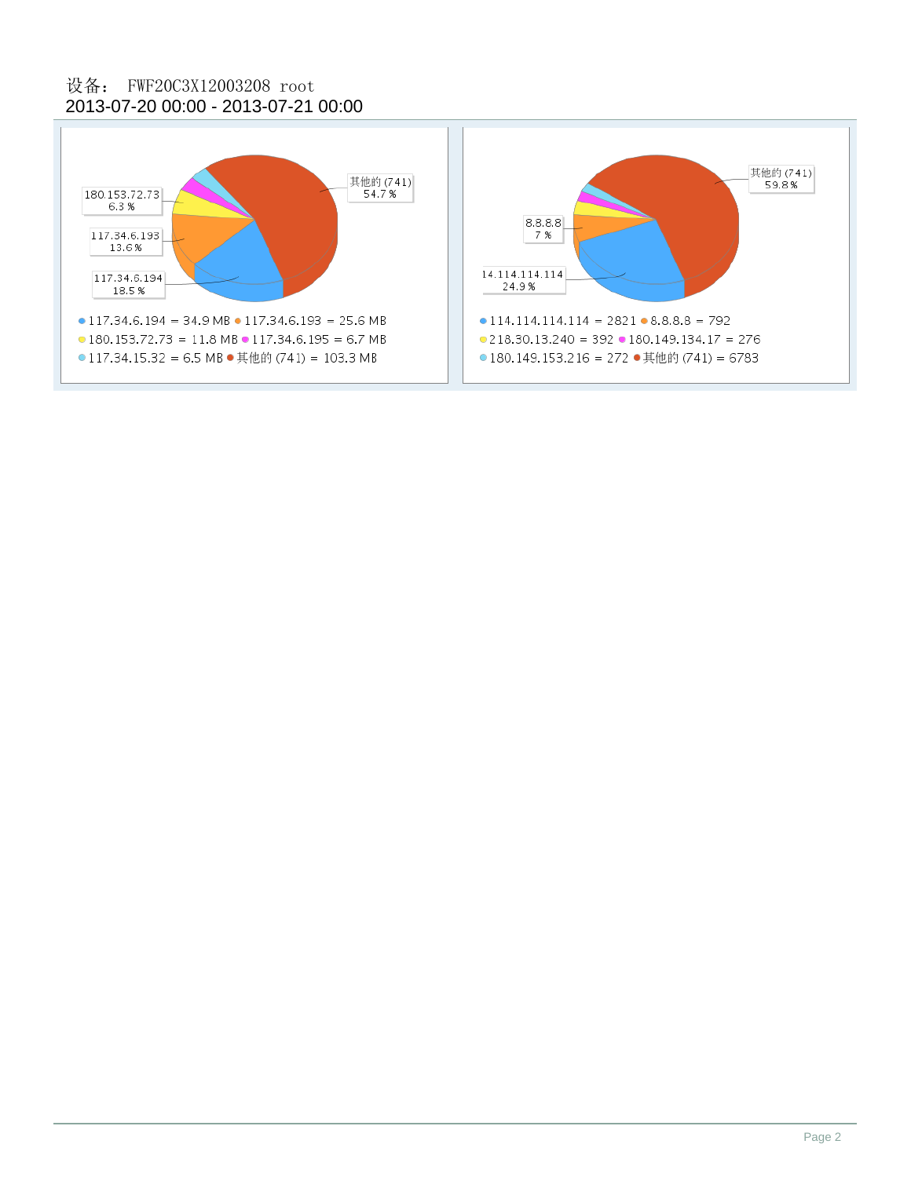### 2013-07-20 00:00 - 2013-07-21 00:00 设备: FWF20C3X12003208 root

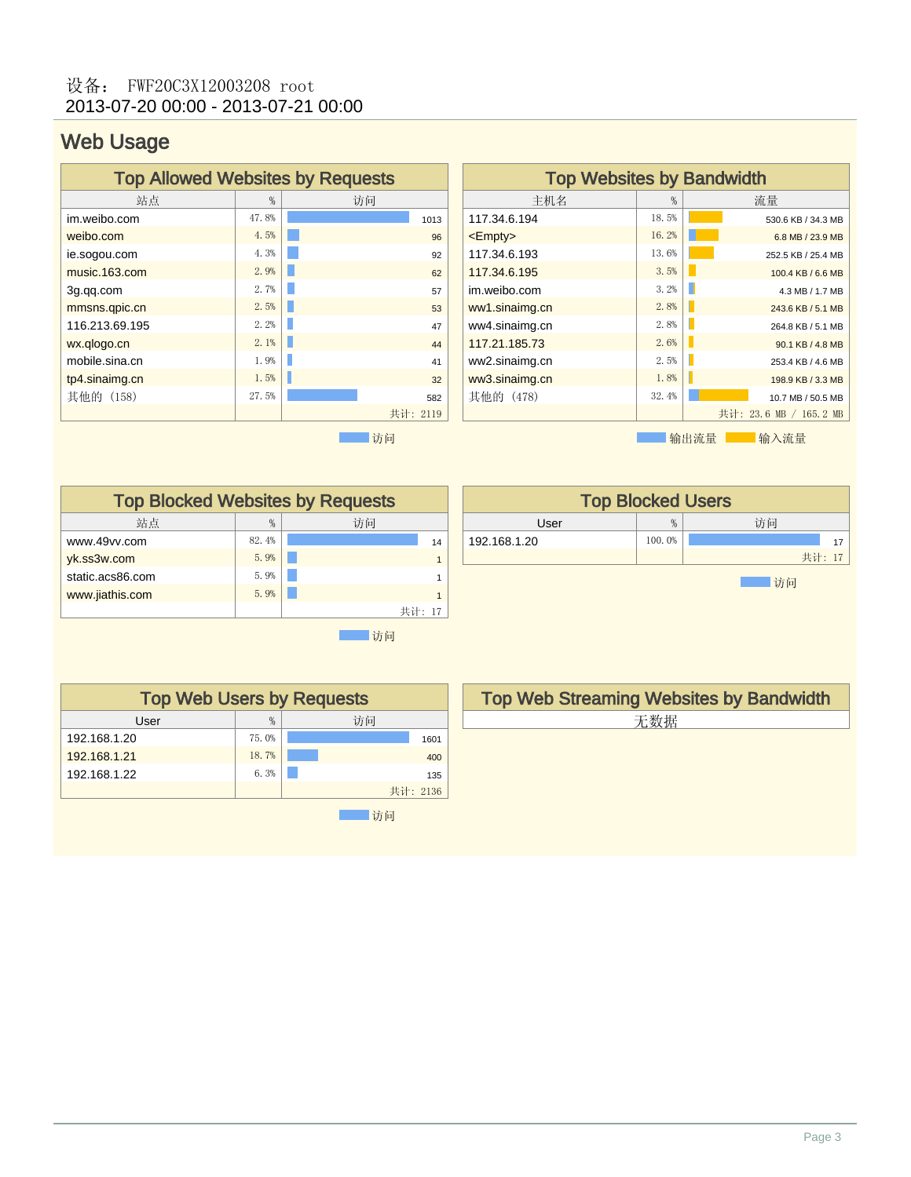## Web Usage

| <b>Top Allowed Websites by Requests</b> |       |          |  |  |  |
|-----------------------------------------|-------|----------|--|--|--|
| 站点                                      | %     | 访问       |  |  |  |
| im.weibo.com                            | 47.8% | 1013     |  |  |  |
| weibo.com                               | 4.5%  | 96       |  |  |  |
| ie.sogou.com                            | 4.3%  | 92       |  |  |  |
| music.163.com                           | 2.9%  | 62       |  |  |  |
| 3g.qq.com                               | 2.7%  | 57       |  |  |  |
| mmsns.qpic.cn                           | 2.5%  | 53       |  |  |  |
| 116.213.69.195                          | 2.2%  | 47       |  |  |  |
| wx.qlogo.cn                             | 2.1%  | 44       |  |  |  |
| mobile.sina.cn                          | 1.9%  | 41       |  |  |  |
| tp4.sinaimg.cn                          | 1.5%  | 32       |  |  |  |
| 其他的 (158)                               | 27.5% | 582      |  |  |  |
|                                         |       | 共计: 2119 |  |  |  |
|                                         |       | 访问       |  |  |  |

| <b>Top Websites by Bandwidth</b> |       |                        |  |  |  |  |
|----------------------------------|-------|------------------------|--|--|--|--|
| 主机名                              | %     | 流量                     |  |  |  |  |
| 117.34.6.194                     | 18.5% | 530.6 KB / 34.3 MB     |  |  |  |  |
| $<$ Empty $>$                    | 16.2% | 6.8 MB / 23.9 MB       |  |  |  |  |
| 117.34.6.193                     | 13.6% | 252.5 KB / 25.4 MB     |  |  |  |  |
| 117.34.6.195                     | 3.5%  | 100.4 KB / 6.6 MB      |  |  |  |  |
| im.weibo.com                     | 3.2%  | П<br>4.3 MB / 1.7 MB   |  |  |  |  |
| ww1.sinaimg.cn                   | 2.8%  | 243.6 KB / 5.1 MB      |  |  |  |  |
| ww4.sinaimg.cn                   | 2.8%  | 264.8 KB / 5.1 MB      |  |  |  |  |
| 117.21.185.73                    | 2.6%  | 90.1 KB / 4.8 MB       |  |  |  |  |
| ww2.sinaimg.cn                   | 2.5%  | 253.4 KB / 4.6 MB      |  |  |  |  |
| ww3.sinaimg.cn                   | 1.8%  | 198.9 KB / 3.3 MB      |  |  |  |  |
| 其他的(478)                         | 32.4% | 10.7 MB / 50.5 MB      |  |  |  |  |
|                                  |       | 共计: 23.6 MB / 165.2 MB |  |  |  |  |
|                                  |       | 输出流量<br>输入流量           |  |  |  |  |

Top Blocked Websites by Requests 站点 | % | 访问 www.49vv.com 82.4% 14 yk.ss3w.com <u>5.9% | 5.9% 1</u> 5.9% 1 5.9% 1 5.9% 1 5.9% 1 5.9% 1 5.9% 1 5.9% 1 5.9% 1 5.9% 1 5.9% 1 5.9% 1 5.9% 1 5.9% 1 5.9% 1 5.9% 1 5.9% 1 5.9% 1 5.9% 1 5.9% 1 5.9% 1 5.9% 1 5.9% 1 5.9% 1 5.9% 1 5.9% 1 5.9% 1 5.9% 1 5.9% static.acs86.com 5.9% 1<br>www.iiathis.com 5.9% 1 www.jiathis.com 3.9% 1 共计: 17

| <b>Top Blocked Users</b> |        |        |  |  |  |
|--------------------------|--------|--------|--|--|--|
| User                     | %      | 访问     |  |  |  |
| 192.168.1.20             | 100.0% |        |  |  |  |
|                          |        | 共计: 17 |  |  |  |
| 访问                       |        |        |  |  |  |

| <b>Top Web Users by Requests</b> |       |          |  |  |  |
|----------------------------------|-------|----------|--|--|--|
| User                             | %     | 访问       |  |  |  |
| 192.168.1.20                     | 75.0% | 1601     |  |  |  |
| 192.168.1.21                     | 18.7% | 400      |  |  |  |
| 192.168.1.22                     | 6.3%  | 135      |  |  |  |
|                                  |       | 共计: 2136 |  |  |  |
|                                  |       | 访问       |  |  |  |

Top Web Streaming Websites by Bandwidth 无数据